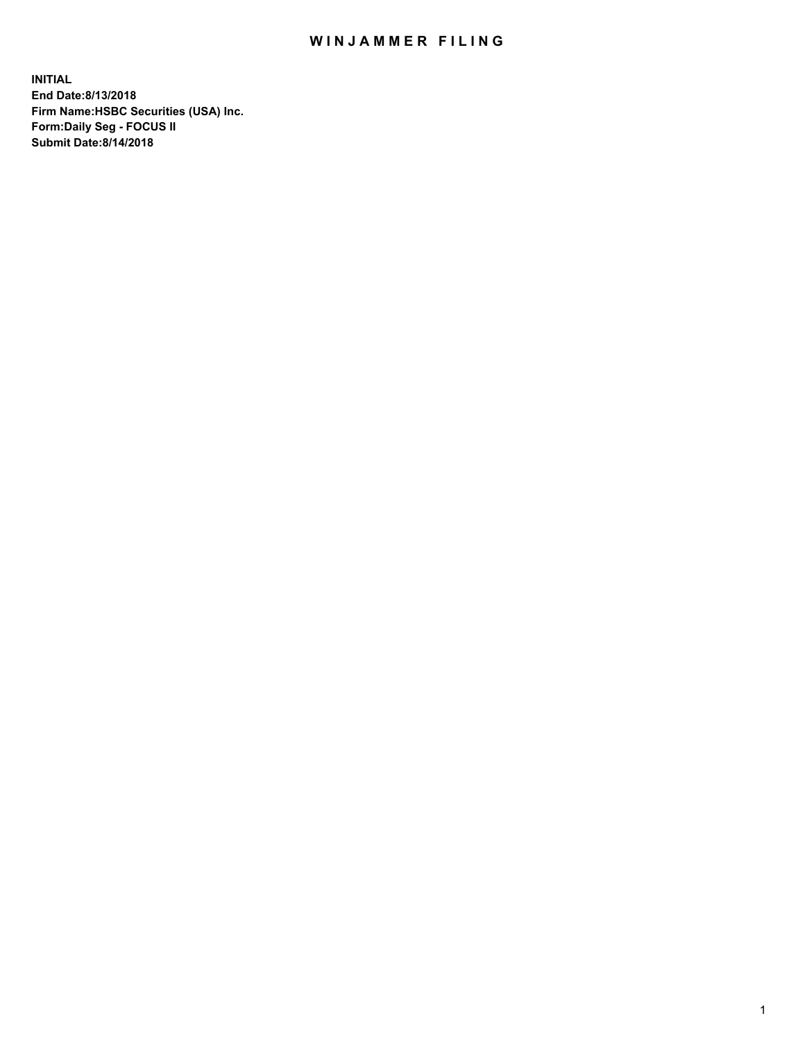## WIN JAMMER FILING

**INITIAL End Date:8/13/2018 Firm Name:HSBC Securities (USA) Inc. Form:Daily Seg - FOCUS II Submit Date:8/14/2018**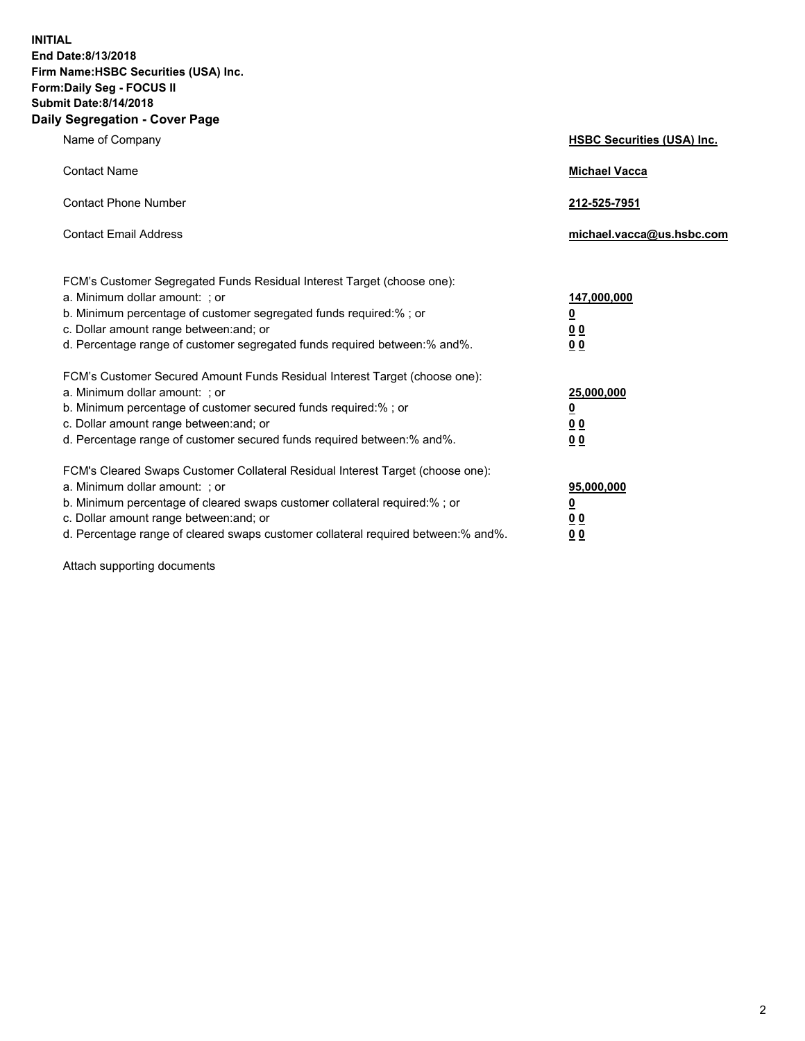**INITIAL End Date:8/13/2018 Firm Name:HSBC Securities (USA) Inc. Form:Daily Seg - FOCUS II Submit Date:8/14/2018 Daily Segregation - Cover Page**

| Name of Company                                                                                                                                                                                                                                                                                                                | <b>HSBC Securities (USA) Inc.</b>                                           |
|--------------------------------------------------------------------------------------------------------------------------------------------------------------------------------------------------------------------------------------------------------------------------------------------------------------------------------|-----------------------------------------------------------------------------|
| <b>Contact Name</b>                                                                                                                                                                                                                                                                                                            | <b>Michael Vacca</b>                                                        |
| <b>Contact Phone Number</b>                                                                                                                                                                                                                                                                                                    | 212-525-7951                                                                |
| <b>Contact Email Address</b>                                                                                                                                                                                                                                                                                                   | michael.vacca@us.hsbc.com                                                   |
| FCM's Customer Segregated Funds Residual Interest Target (choose one):<br>a. Minimum dollar amount: ; or<br>b. Minimum percentage of customer segregated funds required:% ; or<br>c. Dollar amount range between: and; or<br>d. Percentage range of customer segregated funds required between:% and%.                         | 147,000,000<br>$\underline{\mathbf{0}}$<br>0 <sub>0</sub><br>0 <sub>0</sub> |
| FCM's Customer Secured Amount Funds Residual Interest Target (choose one):<br>a. Minimum dollar amount: ; or<br>b. Minimum percentage of customer secured funds required:% ; or<br>c. Dollar amount range between: and; or<br>d. Percentage range of customer secured funds required between: % and %.                         | 25,000,000<br><u>0</u><br>0 <sub>0</sub><br>0 <sub>0</sub>                  |
| FCM's Cleared Swaps Customer Collateral Residual Interest Target (choose one):<br>a. Minimum dollar amount: ; or<br>b. Minimum percentage of cleared swaps customer collateral required:% ; or<br>c. Dollar amount range between: and; or<br>d. Percentage range of cleared swaps customer collateral required between:% and%. | 95,000,000<br><u>0</u><br>00<br>00                                          |

Attach supporting documents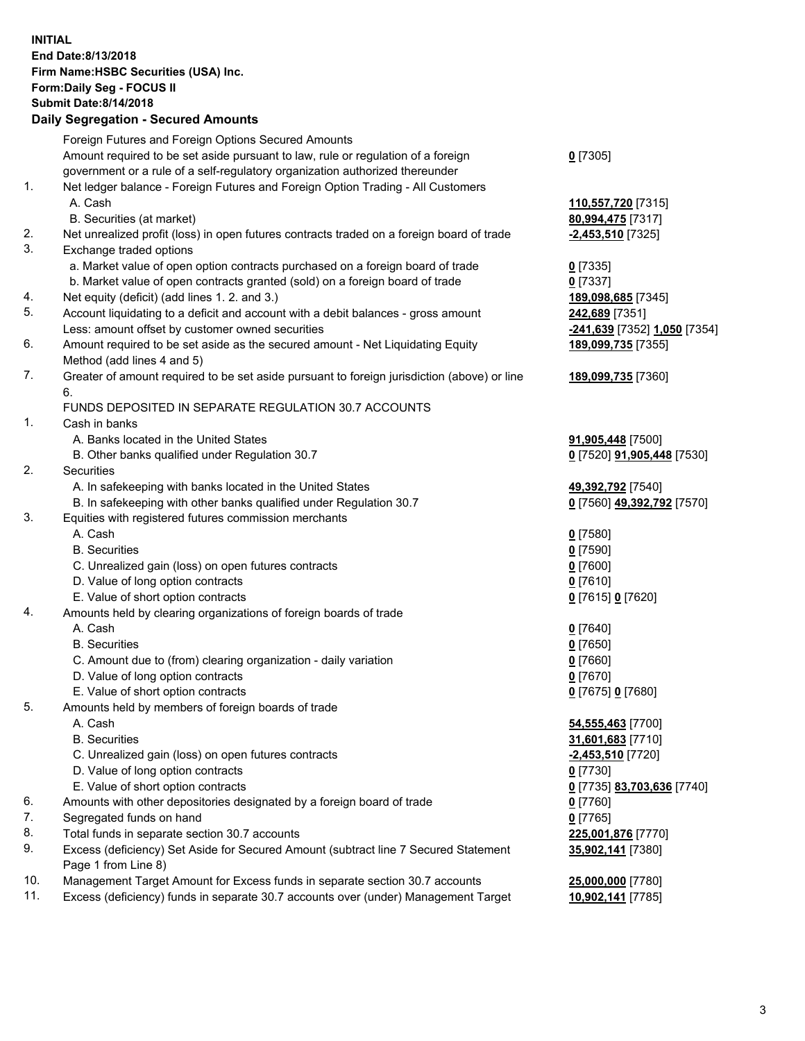**INITIAL End Date:8/13/2018 Firm Name:HSBC Securities (USA) Inc. Form:Daily Seg - FOCUS II Submit Date:8/14/2018 Daily Segregation - Secured Amounts**

Foreign Futures and Foreign Options Secured Amounts Amount required to be set aside pursuant to law, rule or regulation of a foreign government or a rule of a self-regulatory organization authorized thereunder **0** [7305] 1. Net ledger balance - Foreign Futures and Foreign Option Trading - All Customers A. Cash **110,557,720** [7315] B. Securities (at market) **80,994,475** [7317] 2. Net unrealized profit (loss) in open futures contracts traded on a foreign board of trade **-2,453,510** [7325] 3. Exchange traded options a. Market value of open option contracts purchased on a foreign board of trade **0** [7335] b. Market value of open contracts granted (sold) on a foreign board of trade **0** [7337] 4. Net equity (deficit) (add lines 1. 2. and 3.) **189,098,685** [7345] 5. Account liquidating to a deficit and account with a debit balances - gross amount **242,689** [7351] Less: amount offset by customer owned securities **-241,639** [7352] **1,050** [7354] 6. Amount required to be set aside as the secured amount - Net Liquidating Equity Method (add lines 4 and 5) **189,099,735** [7355] 7. Greater of amount required to be set aside pursuant to foreign jurisdiction (above) or line 6. **189,099,735** [7360] FUNDS DEPOSITED IN SEPARATE REGULATION 30.7 ACCOUNTS 1. Cash in banks A. Banks located in the United States **91,905,448** [7500] B. Other banks qualified under Regulation 30.7 **0** [7520] **91,905,448** [7530] 2. Securities A. In safekeeping with banks located in the United States **49,392,792** [7540] B. In safekeeping with other banks qualified under Regulation 30.7 **0** [7560] **49,392,792** [7570] 3. Equities with registered futures commission merchants A. Cash **0** [7580] B. Securities **0** [7590] C. Unrealized gain (loss) on open futures contracts **0** [7600] D. Value of long option contracts **0** [7610] E. Value of short option contracts **0** [7615] **0** [7620] 4. Amounts held by clearing organizations of foreign boards of trade A. Cash **0** [7640] B. Securities **0** [7650] C. Amount due to (from) clearing organization - daily variation **0** [7660] D. Value of long option contracts **0** [7670] E. Value of short option contracts **0** [7675] **0** [7680] 5. Amounts held by members of foreign boards of trade A. Cash **54,555,463** [7700] B. Securities **31,601,683** [7710] C. Unrealized gain (loss) on open futures contracts **-2,453,510** [7720] D. Value of long option contracts **0** [7730] E. Value of short option contracts **0** [7735] **83,703,636** [7740] 6. Amounts with other depositories designated by a foreign board of trade **0** [7760] 7. Segregated funds on hand **0** [7765] 8. Total funds in separate section 30.7 accounts **225,001,876** [7770] 9. Excess (deficiency) Set Aside for Secured Amount (subtract line 7 Secured Statement Page 1 from Line 8) **35,902,141** [7380] 10. Management Target Amount for Excess funds in separate section 30.7 accounts **25,000,000** [7780] 11. Excess (deficiency) funds in separate 30.7 accounts over (under) Management Target **10,902,141** [7785]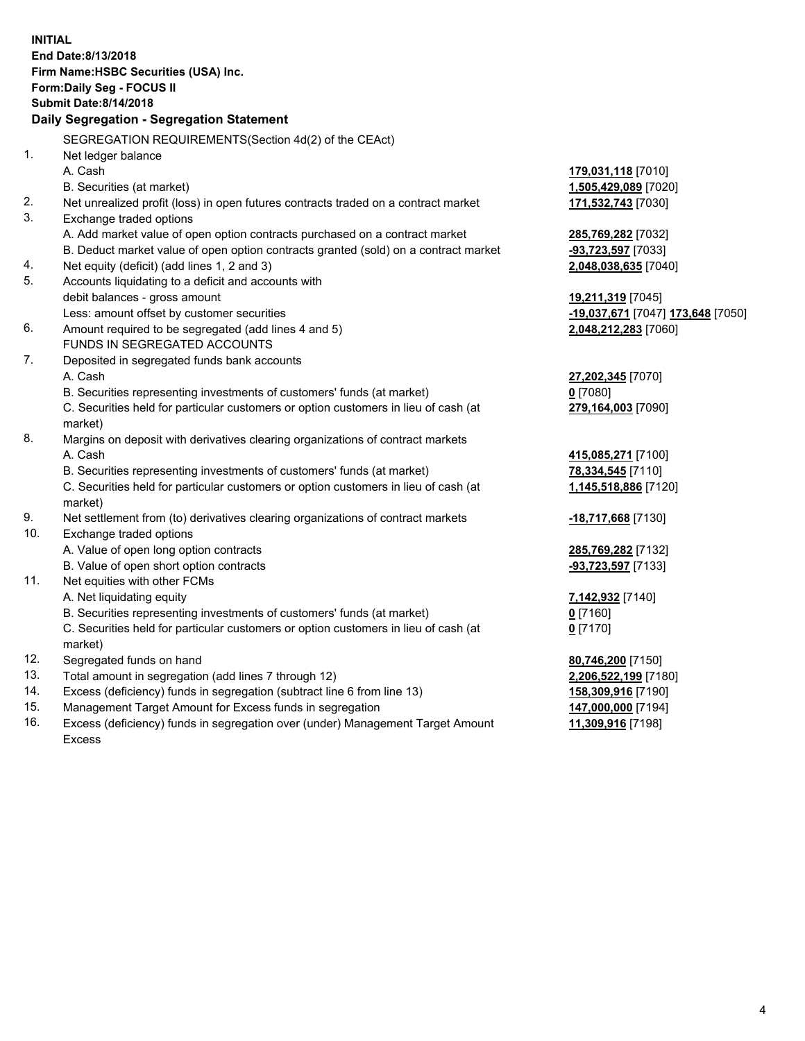**INITIAL End Date:8/13/2018 Firm Name:HSBC Securities (USA) Inc. Form:Daily Seg - FOCUS II Submit Date:8/14/2018 Daily Segregation - Segregation Statement** SEGREGATION REQUIREMENTS(Section 4d(2) of the CEAct) 1. Net ledger balance A. Cash **179,031,118** [7010] B. Securities (at market) **1,505,429,089** [7020] 2. Net unrealized profit (loss) in open futures contracts traded on a contract market **171,532,743** [7030] 3. Exchange traded options A. Add market value of open option contracts purchased on a contract market **285,769,282** [7032] B. Deduct market value of open option contracts granted (sold) on a contract market **-93,723,597** [7033] 4. Net equity (deficit) (add lines 1, 2 and 3) **2,048,038,635** [7040] 5. Accounts liquidating to a deficit and accounts with debit balances - gross amount **19,211,319** [7045] Less: amount offset by customer securities **-19,037,671** [7047] **173,648** [7050] 6. Amount required to be segregated (add lines 4 and 5) **2,048,212,283** [7060] FUNDS IN SEGREGATED ACCOUNTS 7. Deposited in segregated funds bank accounts A. Cash **27,202,345** [7070] B. Securities representing investments of customers' funds (at market) **0** [7080] C. Securities held for particular customers or option customers in lieu of cash (at market) **279,164,003** [7090] 8. Margins on deposit with derivatives clearing organizations of contract markets A. Cash **415,085,271** [7100] B. Securities representing investments of customers' funds (at market) **78,334,545** [7110] C. Securities held for particular customers or option customers in lieu of cash (at market) **1,145,518,886** [7120] 9. Net settlement from (to) derivatives clearing organizations of contract markets **-18,717,668** [7130] 10. Exchange traded options A. Value of open long option contracts **285,769,282** [7132] B. Value of open short option contracts **-93,723,597** [7133] 11. Net equities with other FCMs A. Net liquidating equity **7,142,932** [7140] B. Securities representing investments of customers' funds (at market) **0** [7160] C. Securities held for particular customers or option customers in lieu of cash (at market) **0** [7170] 12. Segregated funds on hand **80,746,200** [7150] 13. Total amount in segregation (add lines 7 through 12) **2,206,522,199** [7180] 14. Excess (deficiency) funds in segregation (subtract line 6 from line 13) **158,309,916** [7190] 15. Management Target Amount for Excess funds in segregation **147,000,000** [7194]

16. Excess (deficiency) funds in segregation over (under) Management Target Amount Excess

**11,309,916** [7198]